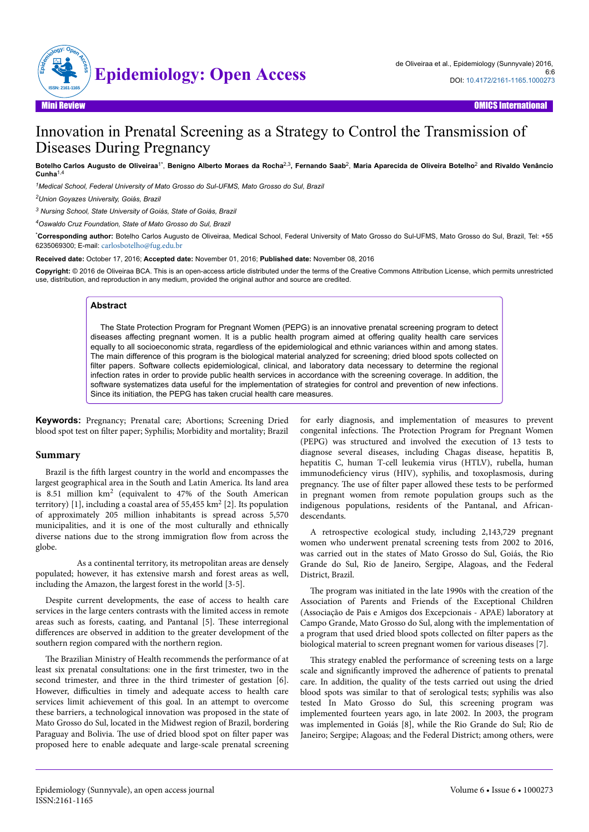

# Innovation in Prenatal Screening as a Strategy to Control the Transmission of Diseases During Pregnancy

Botelho Carlos Augusto de Oliveiraa<sup>1\*</sup>, Benigno Alberto Moraes da Rocha<sup>2,3</sup>, Fernando Saab<sup>2</sup>, Maria Aparecida de Oliveira Botelho<sup>2</sup> and Rivaldo Venâncio **Cunha**1,4

*<sup>1</sup>Medical School, Federal University of Mato Grosso do Sul-UFMS, Mato Grosso do Sul, Brazil*

*<sup>2</sup>Union Goyazes University, Goiás, Brazil*

*3 Nursing School, State University of Goiás, State of Goiás, Brazil*

*<sup>4</sup>Oswaldo Cruz Foundation, State of Mato Grosso do Sul, Brazil*

\***Corresponding author:** Botelho Carlos Augusto de Oliveiraa, Medical School, Federal University of Mato Grosso do Sul-UFMS, Mato Grosso do Sul, Brazil, Tel: +55 6235069300; E-mail: [carlosbotelho@fug.edu.br](mailto:carlosbotelho@fug.edu.br)

**Received date:** October 17, 2016; **Accepted date:** November 01, 2016; **Published date:** November 08, 2016

**Copyright:** © 2016 de Oliveiraa BCA. This is an open-access article distributed under the terms of the Creative Commons Attribution License, which permits unrestricted use, distribution, and reproduction in any medium, provided the original author and source are credited.

#### **Abstract**

The State Protection Program for Pregnant Women (PEPG) is an innovative prenatal screening program to detect diseases affecting pregnant women. It is a public health program aimed at offering quality health care services equally to all socioeconomic strata, regardless of the epidemiological and ethnic variances within and among states. The main difference of this program is the biological material analyzed for screening; dried blood spots collected on filter papers. Software collects epidemiological, clinical, and laboratory data necessary to determine the regional infection rates in order to provide public health services in accordance with the screening coverage. In addition, the software systematizes data useful for the implementation of strategies for control and prevention of new infections. Since its initiation, the PEPG has taken crucial health care measures.

**Keywords:** Pregnancy; Prenatal care; Abortions; Screening Dried blood spot test on filter paper; Syphilis; Morbidity and mortality; Brazil

#### **Summary**

Brazil is the fifth largest country in the world and encompasses the largest geographical area in the South and Latin America. Its land area is 8.51 million km<sup>2</sup> (equivalent to 47% of the South American territory) [1], including a coastal area of 55,455  $km^2$  [2]. Its population of approximately 205 million inhabitants is spread across 5,570 municipalities, and it is one of the most culturally and ethnically diverse nations due to the strong immigration flow from across the globe.

As a continental territory, its metropolitan areas are densely populated; however, it has extensive marsh and forest areas as well, including the Amazon, the largest forest in the world [3-5].

Despite current developments, the ease of access to health care services in the large centers contrasts with the limited access in remote areas such as forests, caating, and Pantanal [5]. Нese interregional differences are observed in addition to the greater development of the southern region compared with the northern region.

The Brazilian Ministry of Health recommends the performance of at least six prenatal consultations: one in the first trimester, two in the second trimester, and three in the third trimester of gestation [6]. However, difficulties in timely and adequate access to health care services limit achievement of this goal. In an attempt to overcome these barriers, a technological innovation was proposed in the state of Mato Grosso do Sul, located in the Midwest region of Brazil, bordering Paraguay and Bolivia. Нe use of dried blood spot on filter paper was proposed here to enable adequate and large-scale prenatal screening

for early diagnosis, and implementation of measures to prevent congenital infections. Нe Protection Program for Pregnant Women (PEPG) was structured and involved the execution of 13 tests to diagnose several diseases, including Chagas disease, hepatitis B, hepatitis C, human T-cell leukemia virus (HTLV), rubella, human immunodeficiency virus (HIV), syphilis, and toxoplasmosis, during pregnancy. Нe use of filter paper allowed these tests to be performed in pregnant women from remote population groups such as the indigenous populations, residents of the Pantanal, and Africandescendants.

A retrospective ecological study, including 2,143,729 pregnant women who underwent prenatal screening tests from 2002 to 2016, was carried out in the states of Mato Grosso do Sul, Goiás, the Rio Grande do Sul, Rio de Janeiro, Sergipe, Alagoas, and the Federal District, Brazil.

The program was initiated in the late 1990s with the creation of the Association of Parents and Friends of the Exceptional Children (Associação de Pais e Amigos dos Excepcionais - APAE) laboratory at Campo Grande, Mato Grosso do Sul, along with the implementation of a program that used dried blood spots collected on filter papers as the biological material to screen pregnant women for various diseases [7].

This strategy enabled the performance of screening tests on a large scale and significantly improved the adherence of patients to prenatal care. In addition, the quality of the tests carried out using the dried blood spots was similar to that of serological tests; syphilis was also tested In Mato Grosso do Sul, this screening program was implemented fourteen years ago, in late 2002. In 2003, the program was implemented in Goiás [8], while the Rio Grande do Sul; Rio de Janeiro; Sergipe; Alagoas; and the Federal District; among others, were